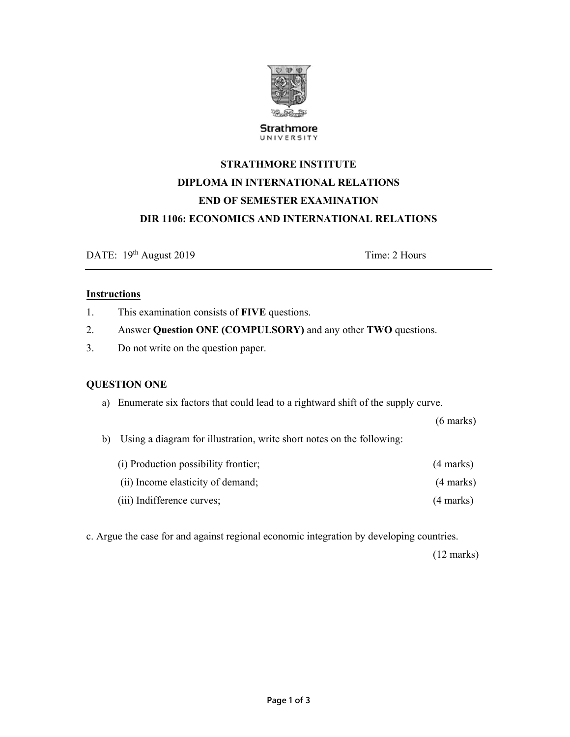

**Strathmore** UNIVERSITY

# **STRATHMORE INSTITUTE DIPLOMA IN INTERNATIONAL RELATIONS END OF SEMESTER EXAMINATION DIR 1106: ECONOMICS AND INTERNATIONAL RELATIONS**

DATE:  $19<sup>th</sup>$  August 2019 Time: 2 Hours

## **Instructions**

- 1. This examination consists of **FIVE** questions.
- 2. Answer **Question ONE (COMPULSORY)** and any other **TWO** questions.
- 3. Do not write on the question paper.

## **QUESTION ONE**

a) Enumerate six factors that could lead to a rightward shift of the supply curve.

(6 marks)

b) Using a diagram for illustration, write short notes on the following:

| (i) Production possibility frontier; | $(4$ marks)         |
|--------------------------------------|---------------------|
| (ii) Income elasticity of demand;    | $(4 \text{ marks})$ |

(iii) Indifference curves; (4 marks)

c. Argue the case for and against regional economic integration by developing countries.

(12 marks)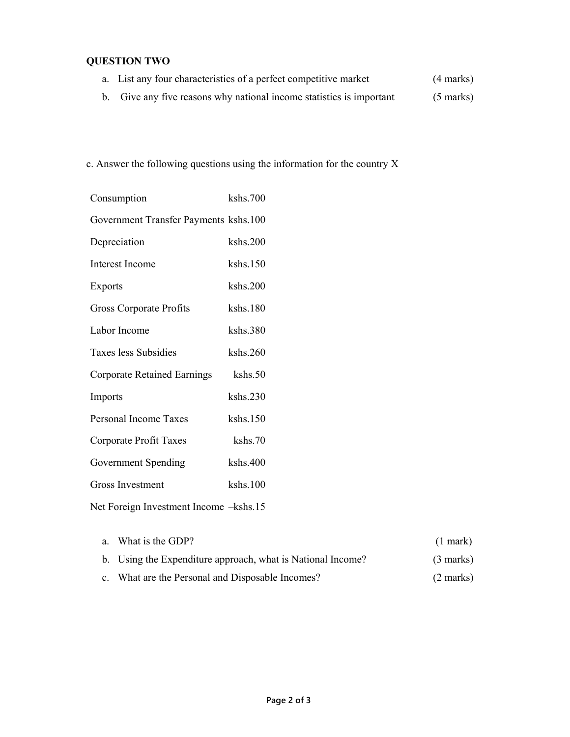# **QUESTION TWO**

- a. List any four characteristics of a perfect competitive market (4 marks)
- b. Give any five reasons why national income statistics is important (5 marks)

c. Answer the following questions using the information for the country X

| Consumption                            | kshs.700 |
|----------------------------------------|----------|
| Government Transfer Payments kshs.100  |          |
| Depreciation                           | kshs.200 |
| <b>Interest Income</b>                 | kshs.150 |
| Exports                                | kshs.200 |
| Gross Corporate Profits                | kshs.180 |
| Labor Income                           | kshs.380 |
| Taxes less Subsidies                   | kshs.260 |
| <b>Corporate Retained Earnings</b>     | kshs.50  |
| Imports                                | kshs.230 |
| Personal Income Taxes                  | kshs.150 |
| Corporate Profit Taxes                 | kshs.70  |
| Government Spending                    | kshs.400 |
| <b>Gross Investment</b>                | kshs.100 |
| Net Foreign Investment Income -kshs.15 |          |

| a. What is the GDP?                                         | $(1$ mark $)$       |
|-------------------------------------------------------------|---------------------|
| b. Using the Expenditure approach, what is National Income? | $(3 \text{ marks})$ |
| c. What are the Personal and Disposable Incomes?            | $(2 \text{ marks})$ |